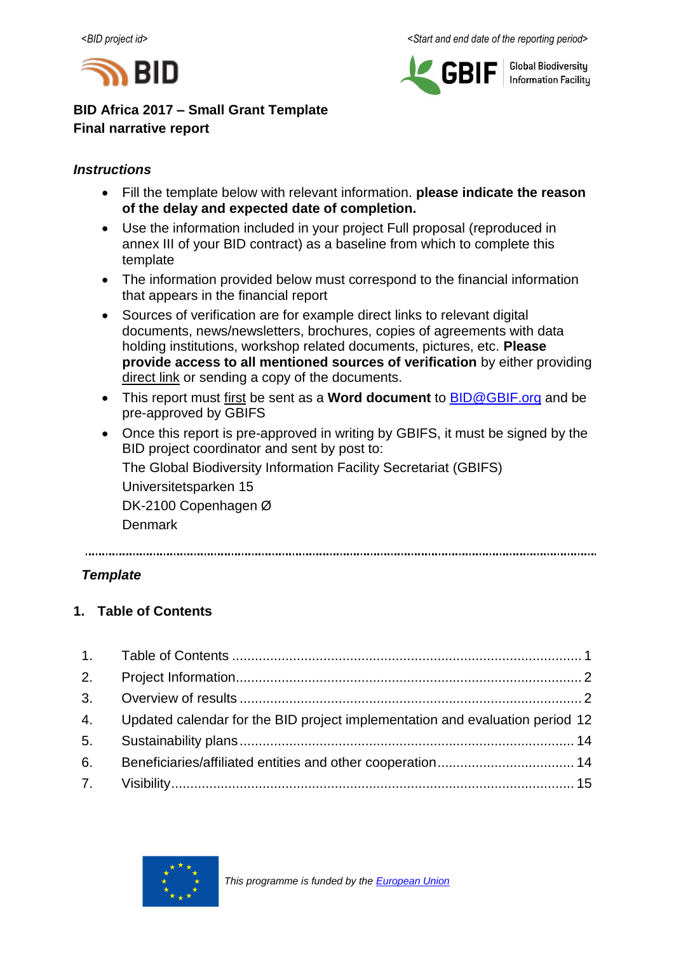



**Global Biodiversity Information Facilitu** 

# **BID Africa 2017 – Small Grant Template Final narrative report**

# *Instructions*

- Fill the template below with relevant information. **please indicate the reason of the delay and expected date of completion.**
- Use the information included in your project Full proposal (reproduced in annex III of your BID contract) as a baseline from which to complete this template
- The information provided below must correspond to the financial information that appears in the financial report
- Sources of verification are for example direct links to relevant digital documents, news/newsletters, brochures, copies of agreements with data holding institutions, workshop related documents, pictures, etc. **Please provide access to all mentioned sources of verification** by either providing direct link or sending a copy of the documents.
- This report must first be sent as a **Word document** to [BID@GBIF.org](mailto:BID@GBIF.org) and be pre-approved by GBIFS
- Once this report is pre-approved in writing by GBIFS, it must be signed by the BID project coordinator and sent by post to: The Global Biodiversity Information Facility Secretariat (GBIFS)

Universitetsparken 15 DK-2100 Copenhagen Ø

Denmark

# *Template*

# <span id="page-0-0"></span>**1. Table of Contents**

|    | 4. Updated calendar for the BID project implementation and evaluation period 12 |  |
|----|---------------------------------------------------------------------------------|--|
|    |                                                                                 |  |
| 6. |                                                                                 |  |
|    |                                                                                 |  |

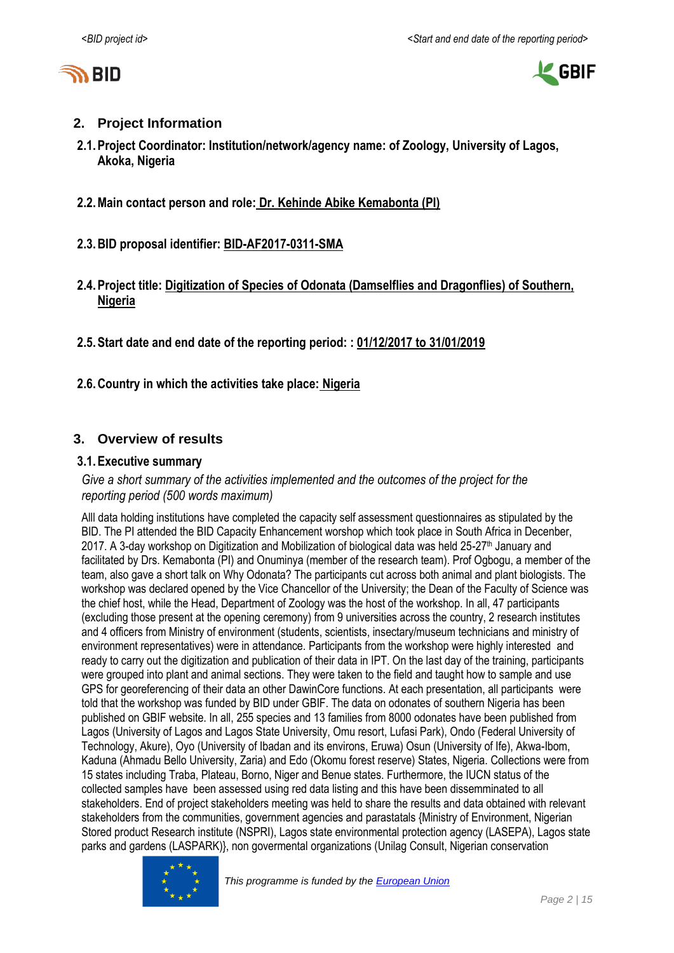



### <span id="page-1-0"></span>**2. Project Information**

- **2.1.Project Coordinator: Institution/network/agency name: of Zoology, University of Lagos, Akoka, Nigeria**
- **2.2.Main contact person and role: Dr. Kehinde Abike Kemabonta (PI)**
- **2.3.BID proposal identifier: BID-AF2017-0311-SMA**
- **2.4.Project title: Digitization of Species of Odonata (Damselflies and Dragonflies) of Southern, Nigeria**
- **2.5.Start date and end date of the reporting period: : 01/12/2017 to 31/01/2019**
- **2.6.Country in which the activities take place: Nigeria**

### <span id="page-1-1"></span>**3. Overview of results**

### **3.1.Executive summary**

*Give a short summary of the activities implemented and the outcomes of the project for the reporting period (500 words maximum)*

Alll data holding institutions have completed the capacity self assessment questionnaires as stipulated by the BID. The PI attended the BID Capacity Enhancement worshop which took place in South Africa in Decenber, 2017. A 3-day workshop on Digitization and Mobilization of biological data was held 25-27<sup>th</sup> January and facilitated by Drs. Kemabonta (PI) and Onuminya (member of the research team). Prof Ogbogu, a member of the team, also gave a short talk on Why Odonata? The participants cut across both animal and plant biologists. The workshop was declared opened by the Vice Chancellor of the University; the Dean of the Faculty of Science was the chief host, while the Head, Department of Zoology was the host of the workshop. In all, 47 participants (excluding those present at the opening ceremony) from 9 universities across the country, 2 research institutes and 4 officers from Ministry of environment (students, scientists, insectary/museum technicians and ministry of environment representatives) were in attendance. Participants from the workshop were highly interested and ready to carry out the digitization and publication of their data in IPT. On the last day of the training, participants were grouped into plant and animal sections. They were taken to the field and taught how to sample and use GPS for georeferencing of their data an other DawinCore functions. At each presentation, all participants were told that the workshop was funded by BID under GBIF. The data on odonates of southern Nigeria has been published on GBIF website. In all, 255 species and 13 families from 8000 odonates have been published from Lagos (University of Lagos and Lagos State University, Omu resort, Lufasi Park), Ondo (Federal University of Technology, Akure), Oyo (University of Ibadan and its environs, Eruwa) Osun (University of Ife), Akwa-Ibom, Kaduna (Ahmadu Bello University, Zaria) and Edo (Okomu forest reserve) States, Nigeria. Collections were from 15 states including Traba, Plateau, Borno, Niger and Benue states. Furthermore, the IUCN status of the collected samples have been assessed using red data listing and this have been dissemminated to all stakeholders. End of project stakeholders meeting was held to share the results and data obtained with relevant stakeholders from the communities, government agencies and parastatals {Ministry of Environment, Nigerian Stored product Research institute (NSPRI), Lagos state environmental protection agency (LASEPA), Lagos state parks and gardens (LASPARK)}, non govermental organizations (Unilag Consult, Nigerian conservation

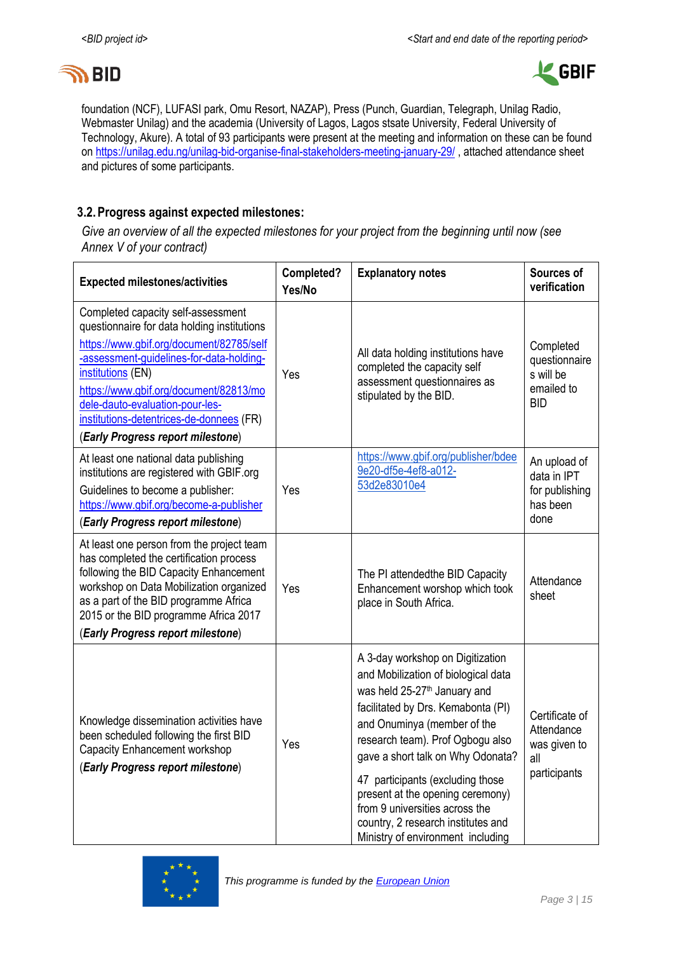



foundation (NCF), LUFASI park, Omu Resort, NAZAP), Press (Punch, Guardian, Telegraph, Unilag Radio, Webmaster Unilag) and the academia (University of Lagos, Lagos stsate University, Federal University of Technology, Akure). A total of 93 participants were present at the meeting and information on these can be found on <https://unilag.edu.ng/unilag-bid-organise-final-stakeholders-meeting-january-29/> , attached attendance sheet and pictures of some participants.

### **3.2.Progress against expected milestones:**

*Give an overview of all the expected milestones for your project from the beginning until now (see Annex V of your contract)*

| <b>Expected milestones/activities</b>                                                                                                                                                                                                                                                                                                                        | Completed?<br>Yes/No | <b>Explanatory notes</b>                                                                                                                                                                                                                                                                                                                                                                                                                               | Sources of<br>verification                                          |
|--------------------------------------------------------------------------------------------------------------------------------------------------------------------------------------------------------------------------------------------------------------------------------------------------------------------------------------------------------------|----------------------|--------------------------------------------------------------------------------------------------------------------------------------------------------------------------------------------------------------------------------------------------------------------------------------------------------------------------------------------------------------------------------------------------------------------------------------------------------|---------------------------------------------------------------------|
| Completed capacity self-assessment<br>questionnaire for data holding institutions<br>https://www.gbif.org/document/82785/self<br>-assessment-guidelines-for-data-holding-<br>institutions (EN)<br>https://www.gbif.org/document/82813/mo<br>dele-dauto-evaluation-pour-les-<br>institutions-detentrices-de-donnees (FR)<br>(Early Progress report milestone) | Yes                  | All data holding institutions have<br>completed the capacity self<br>assessment questionnaires as<br>stipulated by the BID.                                                                                                                                                                                                                                                                                                                            | Completed<br>questionnaire<br>s will be<br>emailed to<br><b>BID</b> |
| At least one national data publishing<br>institutions are registered with GBIF.org<br>Guidelines to become a publisher:<br>https://www.gbif.org/become-a-publisher<br>(Early Progress report milestone)                                                                                                                                                      | Yes                  | https://www.gbif.org/publisher/bdee<br>9e20-df5e-4ef8-a012-<br>53d2e83010e4                                                                                                                                                                                                                                                                                                                                                                            | An upload of<br>data in IPT<br>for publishing<br>has been<br>done   |
| At least one person from the project team<br>has completed the certification process<br>following the BID Capacity Enhancement<br>workshop on Data Mobilization organized<br>as a part of the BID programme Africa<br>2015 or the BID programme Africa 2017<br>(Early Progress report milestone)                                                             | Yes                  | The PI attendedthe BID Capacity<br>Enhancement worshop which took<br>place in South Africa.                                                                                                                                                                                                                                                                                                                                                            | Attendance<br>sheet                                                 |
| Knowledge dissemination activities have<br>been scheduled following the first BID<br>Capacity Enhancement workshop<br>(Early Progress report milestone)                                                                                                                                                                                                      | Yes                  | A 3-day workshop on Digitization<br>and Mobilization of biological data<br>was held 25-27 <sup>th</sup> January and<br>facilitated by Drs. Kemabonta (PI)<br>and Onuminya (member of the<br>research team). Prof Ogbogu also<br>gave a short talk on Why Odonata?<br>47 participants (excluding those<br>present at the opening ceremony)<br>from 9 universities across the<br>country, 2 research institutes and<br>Ministry of environment including | Certificate of<br>Attendance<br>was given to<br>all<br>participants |

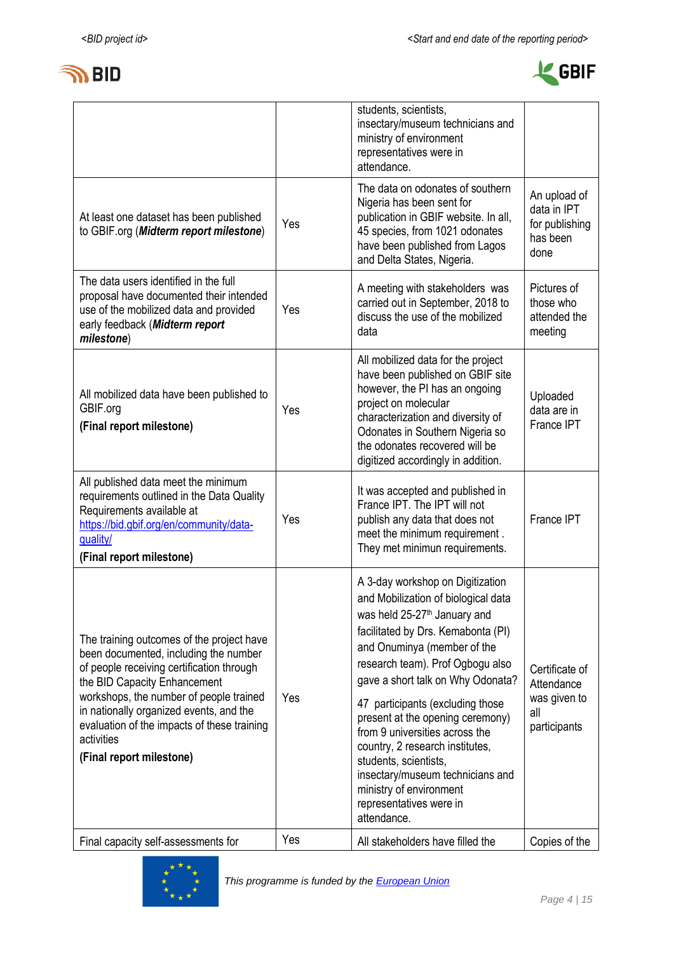



|                                                                                                                                                                                                                                                                                                                                                |     | students, scientists,<br>insectary/museum technicians and<br>ministry of environment<br>representatives were in<br>attendance.                                                                                                                                                                                                                                                                                                                                                                                                                   |                                                                     |
|------------------------------------------------------------------------------------------------------------------------------------------------------------------------------------------------------------------------------------------------------------------------------------------------------------------------------------------------|-----|--------------------------------------------------------------------------------------------------------------------------------------------------------------------------------------------------------------------------------------------------------------------------------------------------------------------------------------------------------------------------------------------------------------------------------------------------------------------------------------------------------------------------------------------------|---------------------------------------------------------------------|
| At least one dataset has been published<br>to GBIF.org (Midterm report milestone)                                                                                                                                                                                                                                                              | Yes | The data on odonates of southern<br>Nigeria has been sent for<br>publication in GBIF website. In all,<br>45 species, from 1021 odonates<br>have been published from Lagos<br>and Delta States, Nigeria.                                                                                                                                                                                                                                                                                                                                          | An upload of<br>data in IPT<br>for publishing<br>has been<br>done   |
| The data users identified in the full<br>proposal have documented their intended<br>use of the mobilized data and provided<br>early feedback (Midterm report<br>milestone)                                                                                                                                                                     | Yes | A meeting with stakeholders was<br>carried out in September, 2018 to<br>discuss the use of the mobilized<br>data                                                                                                                                                                                                                                                                                                                                                                                                                                 | Pictures of<br>those who<br>attended the<br>meeting                 |
| All mobilized data have been published to<br>GBIF.org<br>(Final report milestone)                                                                                                                                                                                                                                                              | Yes | All mobilized data for the project<br>have been published on GBIF site<br>however, the PI has an ongoing<br>project on molecular<br>characterization and diversity of<br>Odonates in Southern Nigeria so<br>the odonates recovered will be<br>digitized accordingly in addition.                                                                                                                                                                                                                                                                 | Uploaded<br>data are in<br>France IPT                               |
| All published data meet the minimum<br>requirements outlined in the Data Quality<br>Requirements available at<br>https://bid.gbif.org/en/community/data-<br>quality/<br>(Final report milestone)                                                                                                                                               | Yes | It was accepted and published in<br>France IPT. The IPT will not<br>publish any data that does not<br>meet the minimum requirement.<br>They met minimun requirements.                                                                                                                                                                                                                                                                                                                                                                            | France IPT                                                          |
| The training outcomes of the project have<br>been documented, including the number<br>of people receiving certification through<br>the BID Capacity Enhancement<br>workshops, the number of people trained<br>in nationally organized events, and the<br>evaluation of the impacts of these training<br>activities<br>(Final report milestone) | Yes | A 3-day workshop on Digitization<br>and Mobilization of biological data<br>was held 25-27 <sup>th</sup> January and<br>facilitated by Drs. Kemabonta (PI)<br>and Onuminya (member of the<br>research team). Prof Ogbogu also<br>gave a short talk on Why Odonata?<br>47 participants (excluding those<br>present at the opening ceremony)<br>from 9 universities across the<br>country, 2 research institutes,<br>students, scientists,<br>insectary/museum technicians and<br>ministry of environment<br>representatives were in<br>attendance. | Certificate of<br>Attendance<br>was given to<br>all<br>participants |
| Final capacity self-assessments for                                                                                                                                                                                                                                                                                                            | Yes | All stakeholders have filled the                                                                                                                                                                                                                                                                                                                                                                                                                                                                                                                 | Copies of the                                                       |

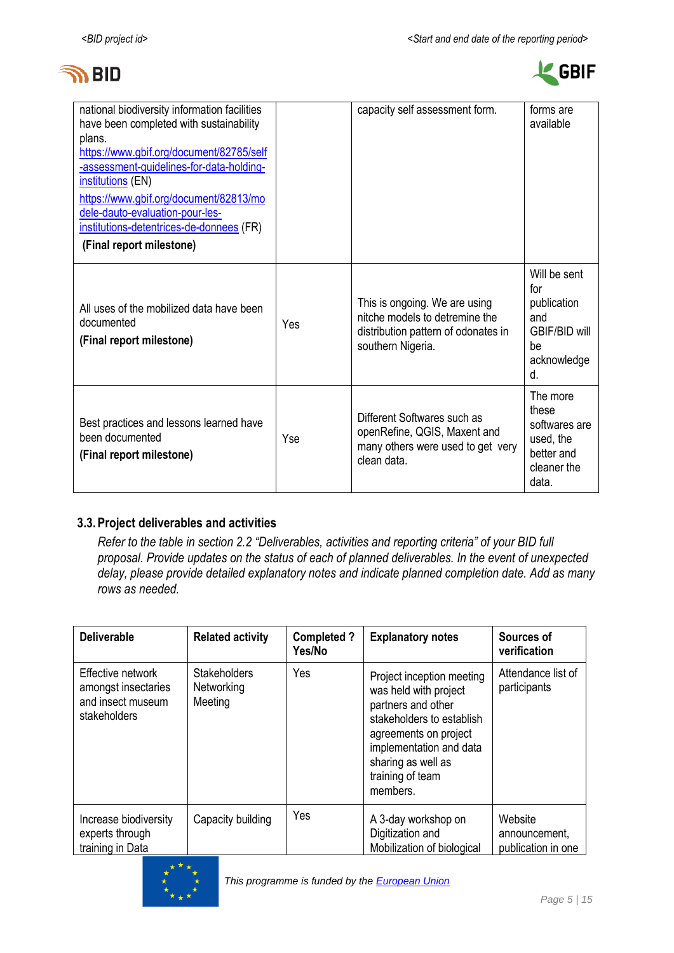



| national biodiversity information facilities<br>have been completed with sustainability<br>plans.<br>https://www.gbif.org/document/82785/self<br>-assessment-guidelines-for-data-holding-<br>institutions (EN)<br>https://www.gbif.org/document/82813/mo<br>dele-dauto-evaluation-pour-les-<br>institutions-detentrices-de-donnees (FR)<br>(Final report milestone) |     | capacity self assessment form.                                                                                              | forms are<br>available                                                                       |
|---------------------------------------------------------------------------------------------------------------------------------------------------------------------------------------------------------------------------------------------------------------------------------------------------------------------------------------------------------------------|-----|-----------------------------------------------------------------------------------------------------------------------------|----------------------------------------------------------------------------------------------|
| All uses of the mobilized data have been<br>documented<br>(Final report milestone)                                                                                                                                                                                                                                                                                  | Yes | This is ongoing. We are using<br>nitche models to detremine the<br>distribution pattern of odonates in<br>southern Nigeria. | Will be sent<br>for<br>publication<br>and<br><b>GBIF/BID will</b><br>be<br>acknowledge<br>d. |
| Best practices and lessons learned have<br>been documented<br>(Final report milestone)                                                                                                                                                                                                                                                                              | Yse | Different Softwares such as<br>openRefine, QGIS, Maxent and<br>many others were used to get very<br>clean data.             | The more<br>these<br>softwares are<br>used, the<br>better and<br>cleaner the<br>data.        |

### **3.3.Project deliverables and activities**

*Refer to the table in section 2.2 "Deliverables, activities and reporting criteria" of your BID full proposal. Provide updates on the status of each of planned deliverables. In the event of unexpected delay, please provide detailed explanatory notes and indicate planned completion date. Add as many rows as needed.*

| <b>Deliverable</b>                                                            | <b>Related activity</b>                      | <b>Completed?</b><br>Yes/No | <b>Explanatory notes</b>                                                                                                                                                                                        | Sources of<br>verification                     |
|-------------------------------------------------------------------------------|----------------------------------------------|-----------------------------|-----------------------------------------------------------------------------------------------------------------------------------------------------------------------------------------------------------------|------------------------------------------------|
| Effective network<br>amongst insectaries<br>and insect museum<br>stakeholders | <b>Stakeholders</b><br>Networking<br>Meeting | Yes                         | Project inception meeting<br>was held with project<br>partners and other<br>stakeholders to establish<br>agreements on project<br>implementation and data<br>sharing as well as<br>training of team<br>members. | Attendance list of<br>participants             |
| Increase biodiversity<br>experts through<br>training in Data                  | Capacity building                            | Yes                         | A 3-day workshop on<br>Digitization and<br>Mobilization of biological                                                                                                                                           | Website<br>announcement,<br>publication in one |

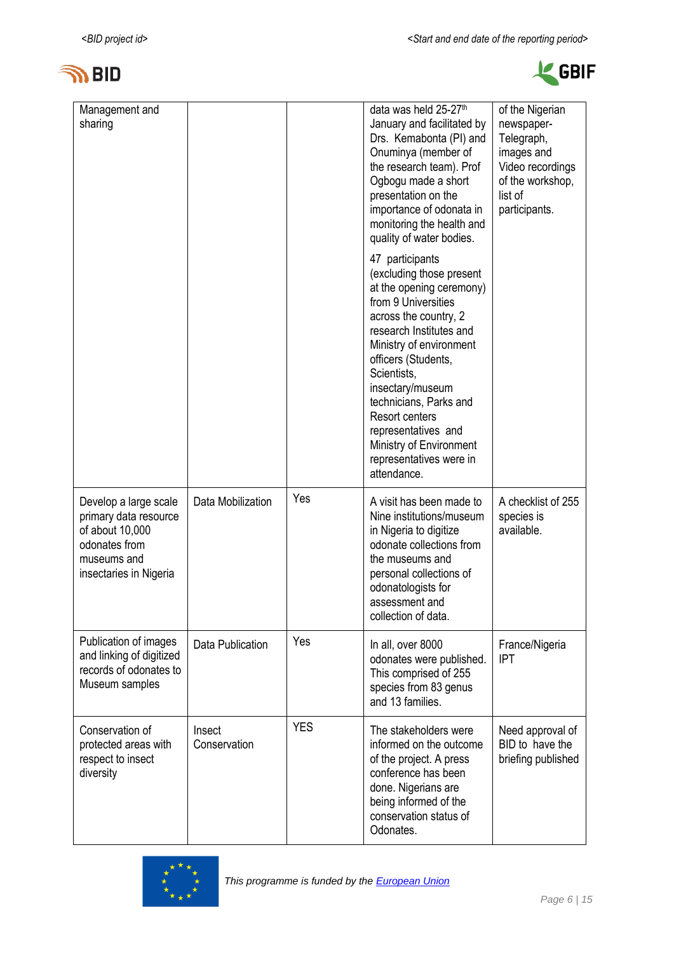



| Management and<br>sharing                                                                                                   |                        |            | data was held 25-27th<br>January and facilitated by<br>Drs. Kemabonta (PI) and<br>Onuminya (member of<br>the research team). Prof<br>Ogbogu made a short<br>presentation on the<br>importance of odonata in<br>monitoring the health and<br>quality of water bodies.                                                                                                                   | of the Nigerian<br>newspaper-<br>Telegraph,<br>images and<br>Video recordings<br>of the workshop,<br>list of<br>participants. |
|-----------------------------------------------------------------------------------------------------------------------------|------------------------|------------|----------------------------------------------------------------------------------------------------------------------------------------------------------------------------------------------------------------------------------------------------------------------------------------------------------------------------------------------------------------------------------------|-------------------------------------------------------------------------------------------------------------------------------|
|                                                                                                                             |                        |            | 47 participants<br>(excluding those present<br>at the opening ceremony)<br>from 9 Universities<br>across the country, 2<br>research Institutes and<br>Ministry of environment<br>officers (Students,<br>Scientists,<br>insectary/museum<br>technicians, Parks and<br><b>Resort centers</b><br>representatives and<br>Ministry of Environment<br>representatives were in<br>attendance. |                                                                                                                               |
| Develop a large scale<br>primary data resource<br>of about 10,000<br>odonates from<br>museums and<br>insectaries in Nigeria | Data Mobilization      | Yes        | A visit has been made to<br>Nine institutions/museum<br>in Nigeria to digitize<br>odonate collections from<br>the museums and<br>personal collections of<br>odonatologists for<br>assessment and<br>collection of data.                                                                                                                                                                | A checklist of 255<br>species is<br>available.                                                                                |
| Publication of images<br>and linking of digitized<br>records of odonates to<br>Museum samples                               | Data Publication       | Yes        | In all, over 8000<br>odonates were published.<br>This comprised of 255<br>species from 83 genus<br>and 13 families.                                                                                                                                                                                                                                                                    | France/Nigeria<br><b>IPT</b>                                                                                                  |
| Conservation of<br>protected areas with<br>respect to insect<br>diversity                                                   | Insect<br>Conservation | <b>YES</b> | The stakeholders were<br>informed on the outcome<br>of the project. A press<br>conference has been<br>done. Nigerians are<br>being informed of the<br>conservation status of<br>Odonates.                                                                                                                                                                                              | Need approval of<br>BID to have the<br>briefing published                                                                     |

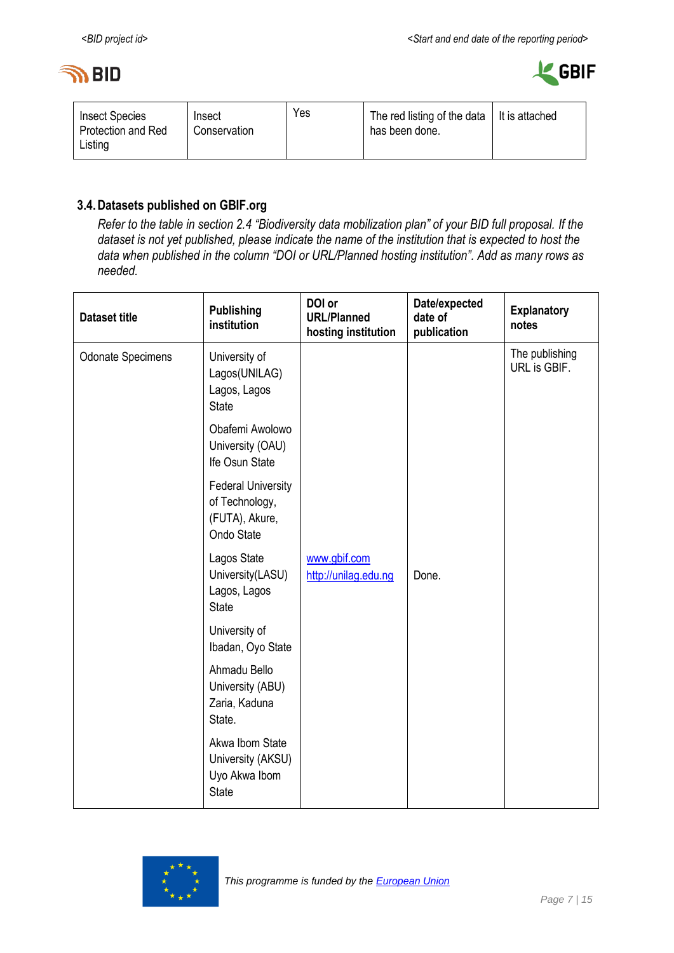



| <b>Insect Species</b><br>Protection and Red<br>Listing | Insect<br>Conservation | Yes | The red listing of the data<br>has been done. | It is attached |
|--------------------------------------------------------|------------------------|-----|-----------------------------------------------|----------------|
|--------------------------------------------------------|------------------------|-----|-----------------------------------------------|----------------|

## **3.4.Datasets published on GBIF.org**

*Refer to the table in section 2.4 "Biodiversity data mobilization plan" of your BID full proposal. If the dataset is not yet published, please indicate the name of the institution that is expected to host the data when published in the column "DOI or URL/Planned hosting institution". Add as many rows as needed.*

| <b>Dataset title</b>     | <b>Publishing</b><br>institution                                            | DOI or<br><b>URL/Planned</b><br>hosting institution | Date/expected<br>date of<br>publication | <b>Explanatory</b><br>notes    |
|--------------------------|-----------------------------------------------------------------------------|-----------------------------------------------------|-----------------------------------------|--------------------------------|
| <b>Odonate Specimens</b> | University of<br>Lagos(UNILAG)<br>Lagos, Lagos<br><b>State</b>              |                                                     |                                         | The publishing<br>URL is GBIF. |
|                          | Obafemi Awolowo<br>University (OAU)<br>Ife Osun State                       |                                                     |                                         |                                |
|                          | <b>Federal University</b><br>of Technology,<br>(FUTA), Akure,<br>Ondo State |                                                     |                                         |                                |
|                          | Lagos State<br>University(LASU)<br>Lagos, Lagos<br><b>State</b>             | www.gbif.com<br>http://unilag.edu.ng                | Done.                                   |                                |
|                          | University of<br>Ibadan, Oyo State                                          |                                                     |                                         |                                |
|                          | Ahmadu Bello<br>University (ABU)<br>Zaria, Kaduna<br>State.                 |                                                     |                                         |                                |
|                          | Akwa Ibom State<br>University (AKSU)<br>Uyo Akwa Ibom<br><b>State</b>       |                                                     |                                         |                                |

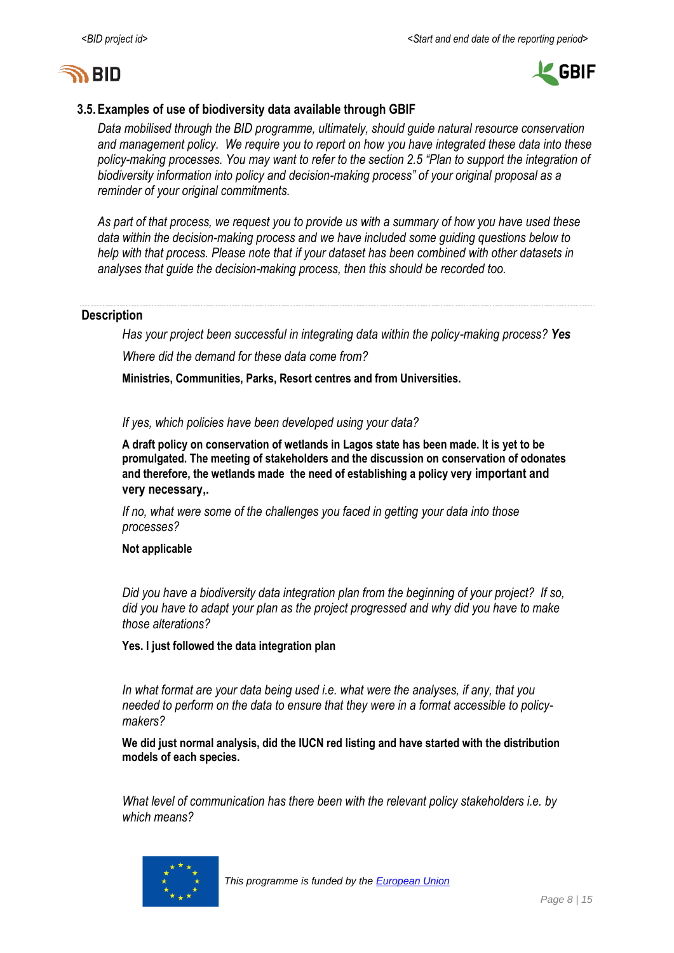



### **3.5.Examples of use of biodiversity data available through GBIF**

*Data mobilised through the BID programme, ultimately, should guide natural resource conservation and management policy. We require you to report on how you have integrated these data into these policy-making processes. You may want to refer to the section 2.5 "Plan to support the integration of biodiversity information into policy and decision-making process" of your original proposal as a reminder of your original commitments.* 

*As part of that process, we request you to provide us with a summary of how you have used these data within the decision-making process and we have included some guiding questions below to help with that process. Please note that if your dataset has been combined with other datasets in analyses that guide the decision-making process, then this should be recorded too.* 

### **Description**

*Has your project been successful in integrating data within the policy-making process? Yes Where did the demand for these data come from?* 

**Ministries, Communities, Parks, Resort centres and from Universities.**

*If yes, which policies have been developed using your data?* 

**A draft policy on conservation of wetlands in Lagos state has been made. It is yet to be promulgated. The meeting of stakeholders and the discussion on conservation of odonates and therefore, the wetlands made the need of establishing a policy very important and very necessary,.**

*If no, what were some of the challenges you faced in getting your data into those processes?*

**Not applicable**

*Did you have a biodiversity data integration plan from the beginning of your project? If so, did you have to adapt your plan as the project progressed and why did you have to make those alterations?* 

**Yes. I just followed the data integration plan**

*In what format are your data being used i.e. what were the analyses, if any, that you needed to perform on the data to ensure that they were in a format accessible to policymakers?*

**We did just normal analysis, did the IUCN red listing and have started with the distribution models of each species.**

*What level of communication has there been with the relevant policy stakeholders i.e. by which means?* 

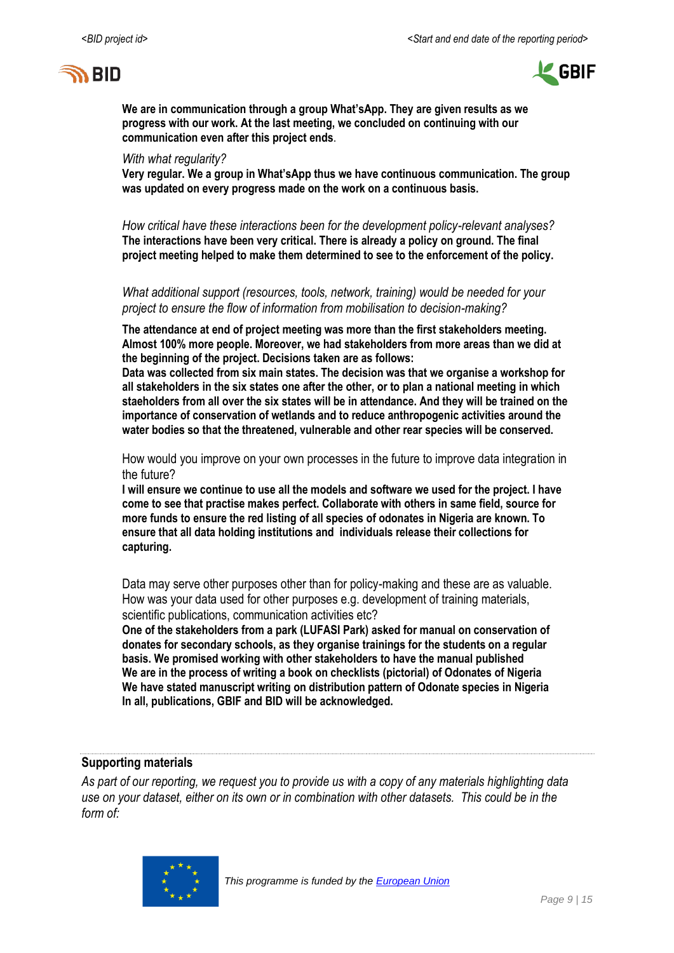



**We are in communication through a group What'sApp. They are given results as we progress with our work. At the last meeting, we concluded on continuing with our communication even after this project ends**.

#### *With what regularity?*

**Very regular. We a group in What'sApp thus we have continuous communication. The group was updated on every progress made on the work on a continuous basis.**

*How critical have these interactions been for the development policy-relevant analyses?*  **The interactions have been very critical. There is already a policy on ground. The final project meeting helped to make them determined to see to the enforcement of the policy.**

*What additional support (resources, tools, network, training) would be needed for your project to ensure the flow of information from mobilisation to decision-making?* 

**The attendance at end of project meeting was more than the first stakeholders meeting. Almost 100% more people. Moreover, we had stakeholders from more areas than we did at the beginning of the project. Decisions taken are as follows:** 

**Data was collected from six main states. The decision was that we organise a workshop for all stakeholders in the six states one after the other, or to plan a national meeting in which staeholders from all over the six states will be in attendance. And they will be trained on the importance of conservation of wetlands and to reduce anthropogenic activities around the water bodies so that the threatened, vulnerable and other rear species will be conserved.**

How would you improve on your own processes in the future to improve data integration in the future?

**I will ensure we continue to use all the models and software we used for the project. I have come to see that practise makes perfect. Collaborate with others in same field, source for more funds to ensure the red listing of all species of odonates in Nigeria are known. To ensure that all data holding institutions and individuals release their collections for capturing.**

Data may serve other purposes other than for policy-making and these are as valuable. How was your data used for other purposes e.g. development of training materials, scientific publications, communication activities etc?

**One of the stakeholders from a park (LUFASI Park) asked for manual on conservation of donates for secondary schools, as they organise trainings for the students on a regular basis. We promised working with other stakeholders to have the manual published We are in the process of writing a book on checklists (pictorial) of Odonates of Nigeria We have stated manuscript writing on distribution pattern of Odonate species in Nigeria In all, publications, GBIF and BID will be acknowledged.**

### **Supporting materials**

*As part of our reporting, we request you to provide us with a copy of any materials highlighting data use on your dataset, either on its own or in combination with other datasets. This could be in the form of:*

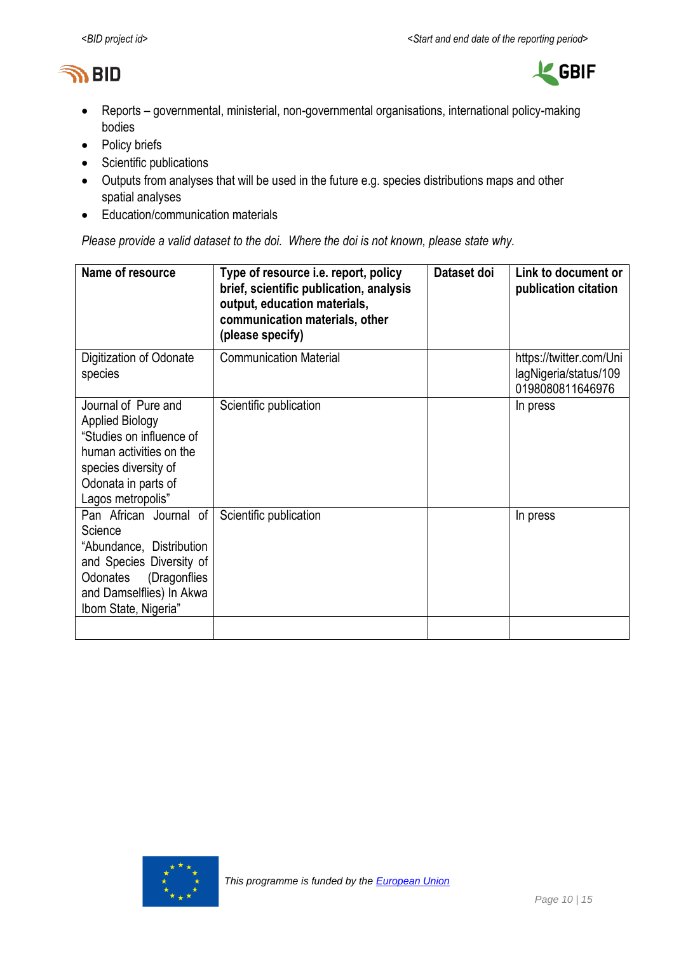



- Reports governmental, ministerial, non-governmental organisations, international policy-making bodies
- Policy briefs
- Scientific publications
- Outputs from analyses that will be used in the future e.g. species distributions maps and other spatial analyses
- Education/communication materials

*Please provide a valid dataset to the doi. Where the doi is not known, please state why.*

| Name of resource                                                                                                                                                          | Type of resource i.e. report, policy<br>brief, scientific publication, analysis<br>output, education materials,<br>communication materials, other<br>(please specify) | Dataset doi | Link to document or<br>publication citation                          |
|---------------------------------------------------------------------------------------------------------------------------------------------------------------------------|-----------------------------------------------------------------------------------------------------------------------------------------------------------------------|-------------|----------------------------------------------------------------------|
| Digitization of Odonate<br>species                                                                                                                                        | <b>Communication Material</b>                                                                                                                                         |             | https://twitter.com/Uni<br>lagNigeria/status/109<br>0198080811646976 |
| Journal of Pure and<br><b>Applied Biology</b><br>"Studies on influence of<br>human activities on the<br>species diversity of<br>Odonata in parts of<br>Lagos metropolis"  | Scientific publication                                                                                                                                                |             | In press                                                             |
| Pan African Journal of<br>Science<br>"Abundance, Distribution<br>and Species Diversity of<br>(Dragonflies<br>Odonates<br>and Damselflies) In Akwa<br>Ibom State, Nigeria" | Scientific publication                                                                                                                                                |             | In press                                                             |
|                                                                                                                                                                           |                                                                                                                                                                       |             |                                                                      |

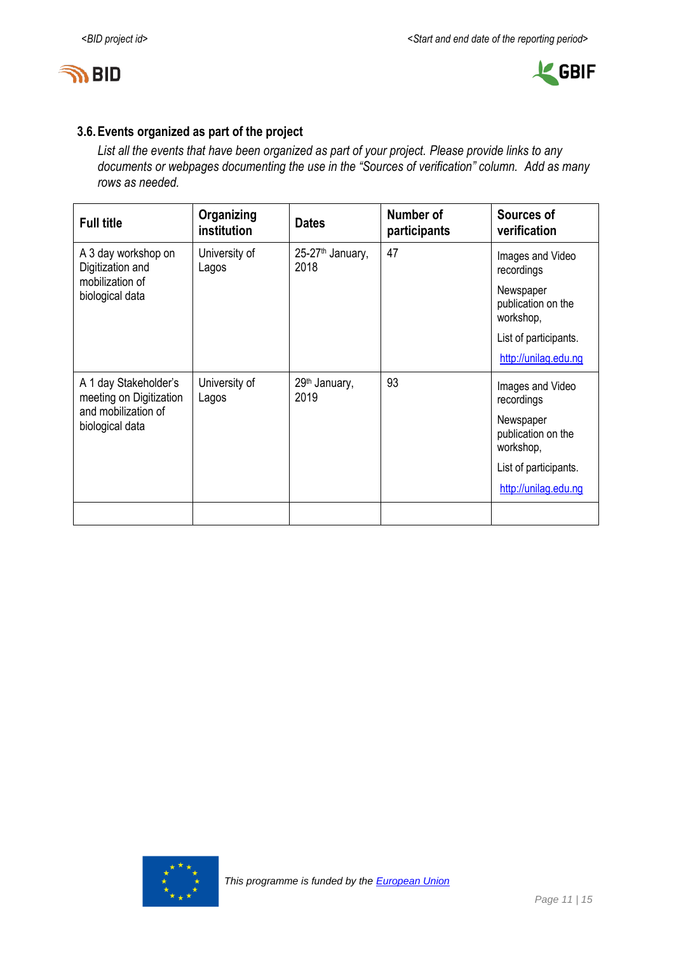



# **3.6.Events organized as part of the project**

*List all the events that have been organized as part of your project. Please provide links to any documents or webpages documenting the use in the "Sources of verification" column. Add as many rows as needed.*

| <b>Full title</b>                                          | Organizing<br>institution | <b>Dates</b>                         | Number of<br>participants | Sources of<br>verification                   |
|------------------------------------------------------------|---------------------------|--------------------------------------|---------------------------|----------------------------------------------|
| A 3 day workshop on<br>Digitization and<br>mobilization of | University of<br>Lagos    | 25-27 <sup>th</sup> January,<br>2018 | 47                        | Images and Video<br>recordings               |
| biological data                                            |                           |                                      |                           | Newspaper<br>publication on the<br>workshop, |
|                                                            |                           |                                      |                           | List of participants.                        |
|                                                            |                           |                                      |                           | http://unilag.edu.ng                         |
| A 1 day Stakeholder's<br>meeting on Digitization           | University of<br>Lagos    | 29th January,<br>2019                | 93                        | Images and Video<br>recordings               |
| and mobilization of<br>biological data                     |                           |                                      |                           | Newspaper<br>publication on the<br>workshop, |
|                                                            |                           |                                      |                           | List of participants.                        |
|                                                            |                           |                                      |                           | http://unilag.edu.ng                         |
|                                                            |                           |                                      |                           |                                              |

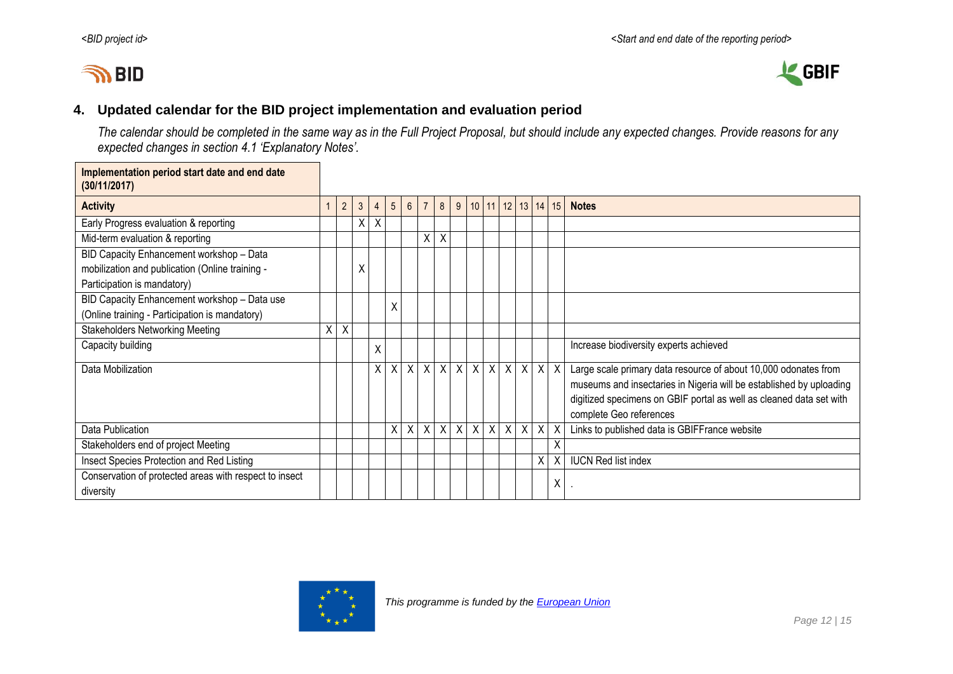# **IN BID**



# **4. Updated calendar for the BID project implementation and evaluation period**

*The calendar should be completed in the same way as in the Full Project Proposal, but should include any expected changes. Provide reasons for any expected changes in section 4.1 'Explanatory Notes'.*

<span id="page-11-0"></span>

| Implementation period start date and end date<br>(30/11/2017) |   |                |              |                |                |                |                |                         |         |                 |              |          |               |                           |   |                                                                     |
|---------------------------------------------------------------|---|----------------|--------------|----------------|----------------|----------------|----------------|-------------------------|---------|-----------------|--------------|----------|---------------|---------------------------|---|---------------------------------------------------------------------|
| <b>Activity</b>                                               |   | $\overline{2}$ | $\mathbf{3}$ | $\overline{4}$ | 5 <sup>5</sup> | 6 <sup>1</sup> | $\overline{7}$ | 8 <sup>1</sup>          | 9       |                 | $10$   11    |          | $12$ 13 14 15 |                           |   | <b>Notes</b>                                                        |
| Early Progress evaluation & reporting                         |   |                | X            | Χ              |                |                |                |                         |         |                 |              |          |               |                           |   |                                                                     |
| Mid-term evaluation & reporting                               |   |                |              |                |                |                | Χ              | X                       |         |                 |              |          |               |                           |   |                                                                     |
| BID Capacity Enhancement workshop - Data                      |   |                |              |                |                |                |                |                         |         |                 |              |          |               |                           |   |                                                                     |
| mobilization and publication (Online training -               |   |                | Χ            |                |                |                |                |                         |         |                 |              |          |               |                           |   |                                                                     |
| Participation is mandatory)                                   |   |                |              |                |                |                |                |                         |         |                 |              |          |               |                           |   |                                                                     |
| BID Capacity Enhancement workshop - Data use                  |   |                |              |                | Χ              |                |                |                         |         |                 |              |          |               |                           |   |                                                                     |
| (Online training - Participation is mandatory)                |   |                |              |                |                |                |                |                         |         |                 |              |          |               |                           |   |                                                                     |
| <b>Stakeholders Networking Meeting</b>                        | X | X              |              |                |                |                |                |                         |         |                 |              |          |               |                           |   |                                                                     |
| Capacity building                                             |   |                |              | Χ              |                |                |                |                         |         |                 |              |          |               |                           |   | Increase biodiversity experts achieved                              |
| Data Mobilization                                             |   |                |              | $\times$       | $\mathsf{X}$   |                | $X$ $X$        |                         |         | $X$ $X$ $X$ $X$ |              |          | $X$ $X$       | $\boldsymbol{\mathsf{X}}$ |   | Large scale primary data resource of about 10,000 odonates from     |
|                                                               |   |                |              |                |                |                |                |                         |         |                 |              |          |               |                           |   | museums and insectaries in Nigeria will be established by uploading |
|                                                               |   |                |              |                |                |                |                |                         |         |                 |              |          |               |                           |   | digitized specimens on GBIF portal as well as cleaned data set with |
|                                                               |   |                |              |                |                |                |                |                         |         |                 |              |          |               |                           |   | complete Geo references                                             |
| Data Publication                                              |   |                |              |                | χ              | X              | Χ              | $\overline{\mathsf{x}}$ | $\sf X$ | $\overline{X}$  | $\mathsf{X}$ | $\times$ | $\sf X$       | $\overline{X}$            |   | Links to published data is GBIFFrance website                       |
| Stakeholders end of project Meeting                           |   |                |              |                |                |                |                |                         |         |                 |              |          |               |                           |   |                                                                     |
| Insect Species Protection and Red Listing                     |   |                |              |                |                |                |                |                         |         |                 |              |          |               | X                         |   | <b>IUCN Red list index</b>                                          |
| Conservation of protected areas with respect to insect        |   |                |              |                |                |                |                |                         |         |                 |              |          |               |                           | Χ |                                                                     |
| diversity                                                     |   |                |              |                |                |                |                |                         |         |                 |              |          |               |                           |   |                                                                     |

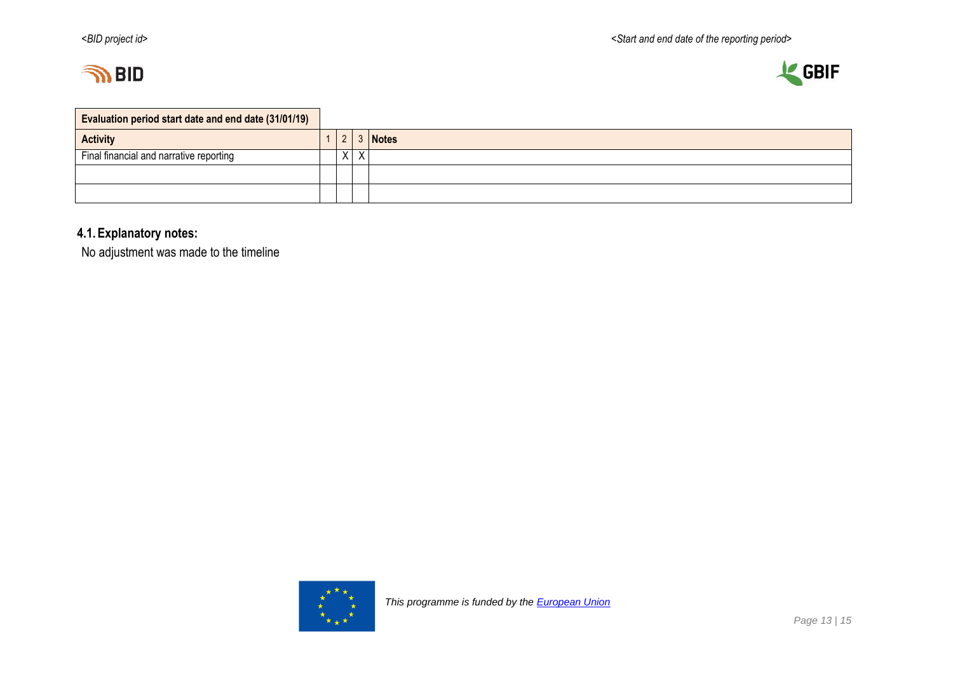



| Evaluation period start date and end date (31/01/19) |  |   |   |              |
|------------------------------------------------------|--|---|---|--------------|
| <b>Activity</b>                                      |  |   |   | <b>Notes</b> |
| Final financial and narrative reporting              |  | X | X |              |
|                                                      |  |   |   |              |
|                                                      |  |   |   |              |

# **4.1.Explanatory notes:**

No adjustment was made to the timeline

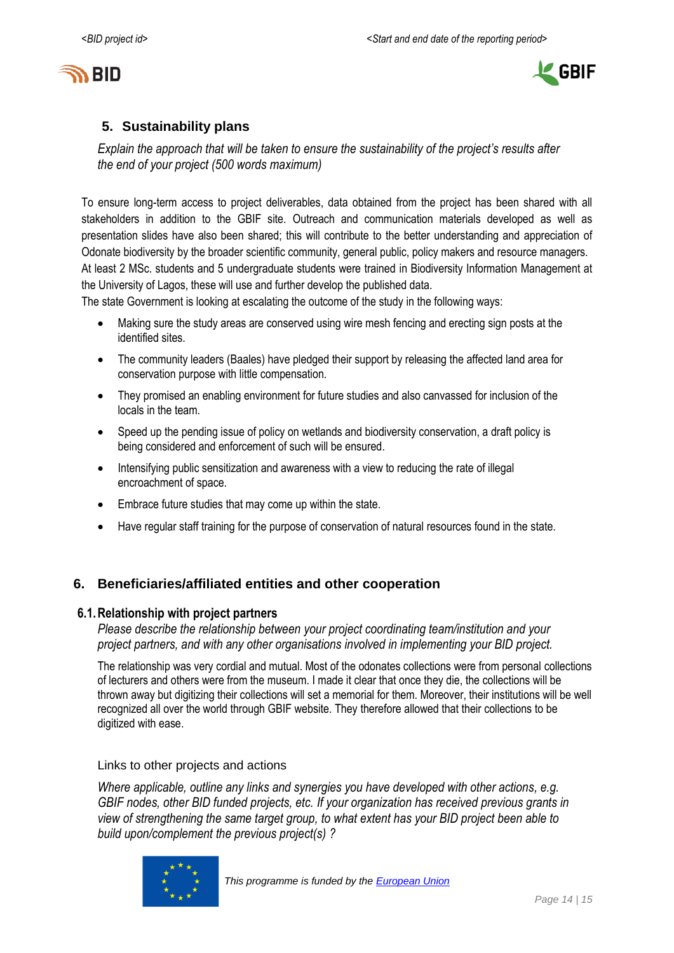



# <span id="page-13-0"></span>**5. Sustainability plans**

*Explain the approach that will be taken to ensure the sustainability of the project's results after the end of your project (500 words maximum)*

To ensure long-term access to project deliverables, data obtained from the project has been shared with all stakeholders in addition to the GBIF site. Outreach and communication materials developed as well as presentation slides have also been shared; this will contribute to the better understanding and appreciation of Odonate biodiversity by the broader scientific community, general public, policy makers and resource managers. At least 2 MSc. students and 5 undergraduate students were trained in Biodiversity Information Management at the University of Lagos, these will use and further develop the published data.

The state Government is looking at escalating the outcome of the study in the following ways:

- Making sure the study areas are conserved using wire mesh fencing and erecting sign posts at the identified sites.
- The community leaders (Baales) have pledged their support by releasing the affected land area for conservation purpose with little compensation.
- They promised an enabling environment for future studies and also canvassed for inclusion of the locals in the team.
- Speed up the pending issue of policy on wetlands and biodiversity conservation, a draft policy is being considered and enforcement of such will be ensured.
- Intensifying public sensitization and awareness with a view to reducing the rate of illegal encroachment of space.
- Embrace future studies that may come up within the state.
- Have regular staff training for the purpose of conservation of natural resources found in the state.

# <span id="page-13-1"></span>**6. Beneficiaries/affiliated entities and other cooperation**

### **6.1.Relationship with project partners**

*Please describe the relationship between your project coordinating team/institution and your project partners, and with any other organisations involved in implementing your BID project.*

The relationship was very cordial and mutual. Most of the odonates collections were from personal collections of lecturers and others were from the museum. I made it clear that once they die, the collections will be thrown away but digitizing their collections will set a memorial for them. Moreover, their institutions will be well recognized all over the world through GBIF website. They therefore allowed that their collections to be digitized with ease.

Links to other projects and actions

*Where applicable, outline any links and synergies you have developed with other actions, e.g. GBIF nodes, other BID funded projects, etc. If your organization has received previous grants in view of strengthening the same target group, to what extent has your BID project been able to build upon/complement the previous project(s) ?*